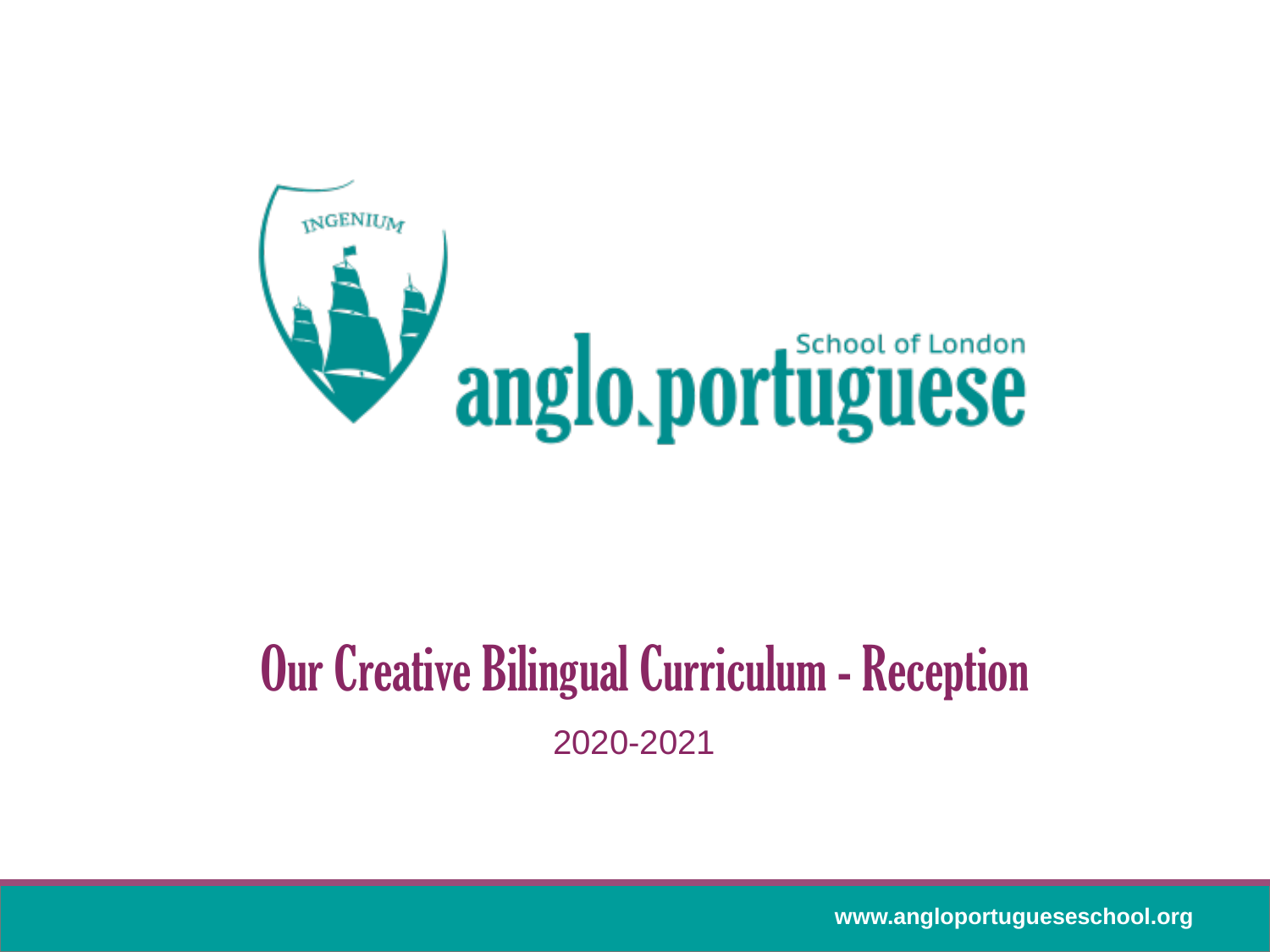

## Our Creative Bilingual Curriculum - Reception 2020-2021

**www.angloportugueseschool.org**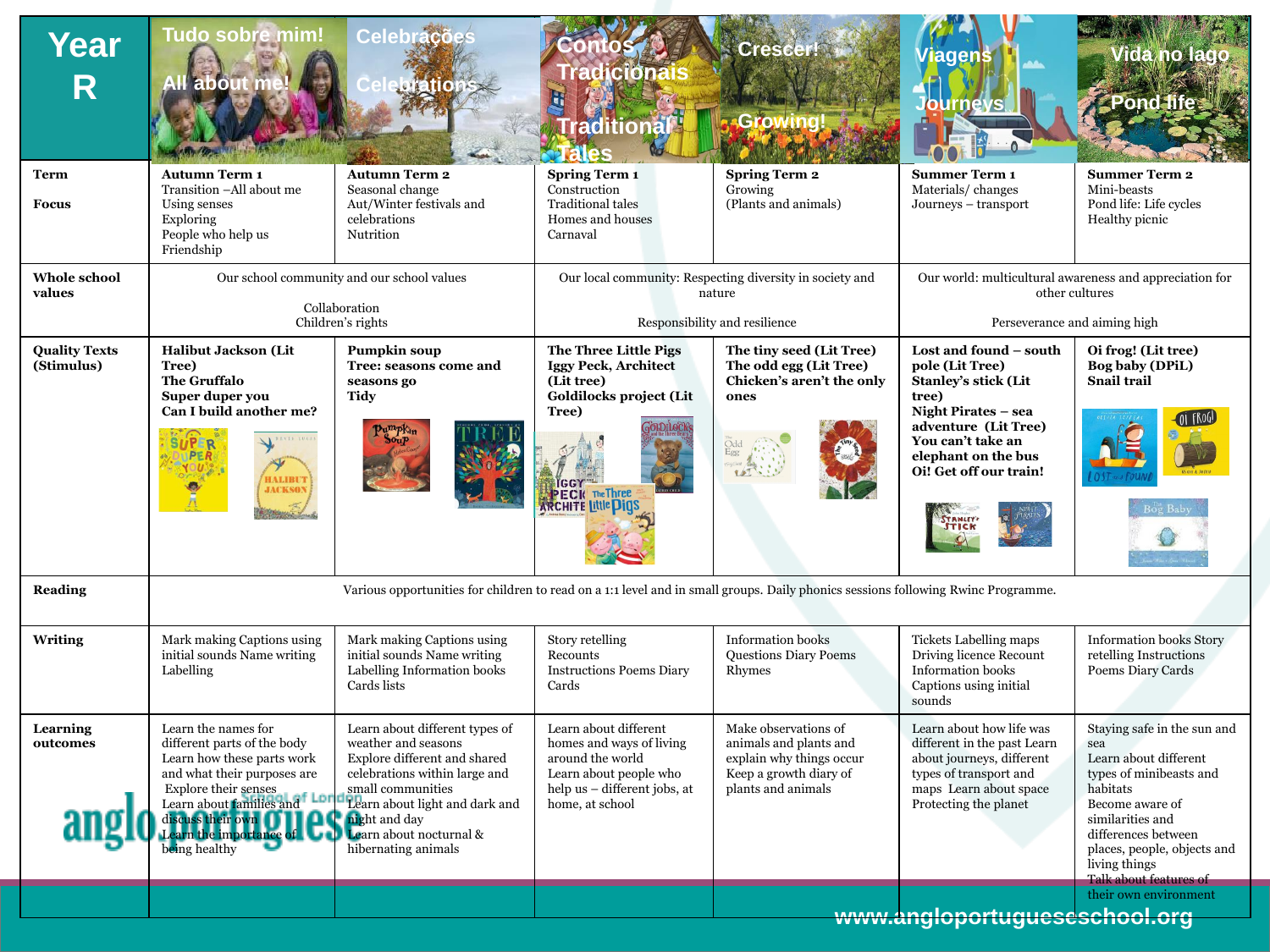| Year<br>R                          | Tudo sobre mim!<br>All about m                                                                                                                                                                                                                           | Celebrac                                                                                                                                                                                                                                                 | raditional<br>ales                                                                                                                                 | <b>Crescent</b><br>Growing.                                                                                                | /iagens                                                                                                                                                                                                                        |                                                                                                                                                                                                                                            |  |
|------------------------------------|----------------------------------------------------------------------------------------------------------------------------------------------------------------------------------------------------------------------------------------------------------|----------------------------------------------------------------------------------------------------------------------------------------------------------------------------------------------------------------------------------------------------------|----------------------------------------------------------------------------------------------------------------------------------------------------|----------------------------------------------------------------------------------------------------------------------------|--------------------------------------------------------------------------------------------------------------------------------------------------------------------------------------------------------------------------------|--------------------------------------------------------------------------------------------------------------------------------------------------------------------------------------------------------------------------------------------|--|
| <b>Term</b><br><b>Focus</b>        | <b>Autumn Term 1</b><br>Transition -All about me<br>Using senses<br>Exploring<br>People who help us<br>Friendship                                                                                                                                        | <b>Autumn Term 2</b><br>Seasonal change<br>Aut/Winter festivals and<br>celebrations<br>Nutrition                                                                                                                                                         | <b>Spring Term 1</b><br>Construction<br><b>Traditional tales</b><br>Homes and houses<br>Carnaval                                                   | <b>Spring Term 2</b><br>Growing<br>(Plants and animals)                                                                    | <b>Summer Term 1</b><br>Materials/changes<br>Journeys - transport                                                                                                                                                              | <b>Summer Term 2</b><br>Mini-beasts<br>Pond life: Life cycles<br>Healthy picnic                                                                                                                                                            |  |
| <b>Whole school</b><br>values      | Our school community and our school values<br>Collaboration<br>Children's rights                                                                                                                                                                         |                                                                                                                                                                                                                                                          |                                                                                                                                                    | Our local community: Respecting diversity in society and<br>nature<br>Responsibility and resilience                        |                                                                                                                                                                                                                                | Our world: multicultural awareness and appreciation for<br>other cultures<br>Perseverance and aiming high                                                                                                                                  |  |
| <b>Quality Texts</b><br>(Stimulus) | <b>Halibut Jackson (Lit</b><br>Tree)<br><b>The Gruffalo</b><br>Super duper you<br>Can I build another me?<br>SAVIS LUCAS<br><b>HALIBUT</b><br><b>JACKSON</b><br>Ă                                                                                        | Pumpkin soup<br>Tree: seasons come and<br>seasons go<br><b>Tidy</b><br>90 <sub>u</sub> p                                                                                                                                                                 | The Three Little Pigs<br><b>Iggy Peck, Architect</b><br>(Lit tree)<br>Goldilocks project (Lit<br>Tree)<br>PECK The Three                           | The tiny seed (Lit Tree)<br>The odd egg (Lit Tree)<br>Chicken's aren't the only<br>ones                                    | Lost and found - south<br>pole (Lit Tree)<br><b>Stanley's stick (Lit</b><br>tree)<br>Night Pirates - sea<br>adventure (Lit Tree)<br>You can't take an<br>elephant on the bus<br>Oi! Get off our train!<br><b><i>TRMLFY</i></b> | Oi frog! (Lit tree)<br>Bog baby (DPiL)<br><b>Snail trail</b><br>Bog Baby                                                                                                                                                                   |  |
| <b>Reading</b>                     | Various opportunities for children to read on a 1:1 level and in small groups. Daily phonics sessions following Rwinc Programme.                                                                                                                         |                                                                                                                                                                                                                                                          |                                                                                                                                                    |                                                                                                                            |                                                                                                                                                                                                                                |                                                                                                                                                                                                                                            |  |
| <b>Writing</b>                     | Mark making Captions using<br>initial sounds Name writing<br>Labelling                                                                                                                                                                                   | Mark making Captions using<br>initial sounds Name writing<br>Labelling Information books<br>Cards lists                                                                                                                                                  | Story retelling<br>Recounts<br><b>Instructions Poems Diary</b><br>Cards                                                                            | <b>Information</b> books<br><b>Questions Diary Poems</b><br>Rhymes                                                         | Tickets Labelling maps<br>Driving licence Recount<br><b>Information books</b><br>Captions using initial<br>sounds                                                                                                              | <b>Information books Story</b><br>retelling Instructions<br>Poems Diary Cards                                                                                                                                                              |  |
| <b>Learning</b><br>outcomes        | Learn the names for<br>different parts of the body<br>Learn how these parts work<br>and what their purposes are<br><b>Explore their senses</b><br>Learn about families and<br>liscuss their own [1]<br>arn the importance of <b>Let</b><br>being healthy | Learn about different types of<br>weather and seasons<br>Explore different and shared<br>celebrations within large and<br>small communities<br><b>Elearn about light and dark and</b><br>night and day<br>Learn about nocturnal &<br>hibernating animals | Learn about different<br>homes and ways of living<br>around the world<br>Learn about people who<br>help us - different jobs, at<br>home, at school | Make observations of<br>animals and plants and<br>explain why things occur<br>Keep a growth diary of<br>plants and animals | Learn about how life was<br>different in the past Learn<br>about journeys, different<br>types of transport and<br>maps Learn about space<br>Protecting the planet                                                              | Staying safe in the sun and<br>sea<br>Learn about different<br>types of minibeasts and<br>habitats<br>Become aware of<br>similarities and<br>differences between<br>places, people, objects and<br>living things<br>Talk about features of |  |
|                                    |                                                                                                                                                                                                                                                          |                                                                                                                                                                                                                                                          |                                                                                                                                                    |                                                                                                                            | www.angloportugueseschool.org                                                                                                                                                                                                  | their own environment                                                                                                                                                                                                                      |  |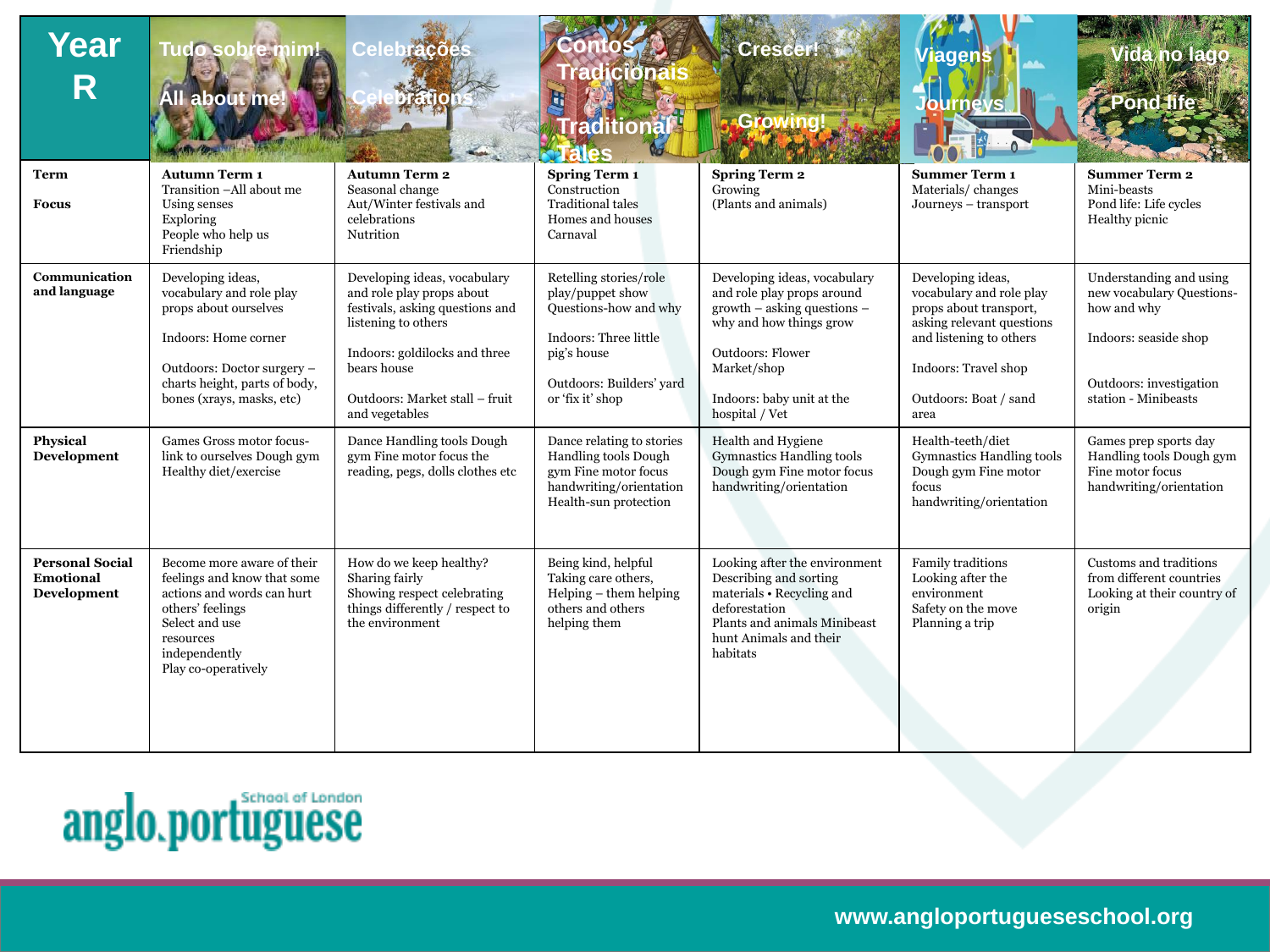| Year<br>R                                                       | Tudo sobre mim!<br><b>All about me</b>                                                                                                                                                                                                                | $\bullet$ $\bullet$ $\bullet$ $\bullet$ $\bullet$ $\bullet$                                                                                                                                                                                                                       | <b>RICICIONS</b><br><b>raditiona</b>                                                                                                                                                                             | <b>Cresce</b><br>rowin                                                                                                                                                                                                                                                  | /iagens<br>rnevs                                                                                                                                                                                                                                  |                                                                                                                                                                                                      |
|-----------------------------------------------------------------|-------------------------------------------------------------------------------------------------------------------------------------------------------------------------------------------------------------------------------------------------------|-----------------------------------------------------------------------------------------------------------------------------------------------------------------------------------------------------------------------------------------------------------------------------------|------------------------------------------------------------------------------------------------------------------------------------------------------------------------------------------------------------------|-------------------------------------------------------------------------------------------------------------------------------------------------------------------------------------------------------------------------------------------------------------------------|---------------------------------------------------------------------------------------------------------------------------------------------------------------------------------------------------------------------------------------------------|------------------------------------------------------------------------------------------------------------------------------------------------------------------------------------------------------|
| <b>Term</b><br><b>Focus</b>                                     | <b>Autumn Term 1</b><br>Transition -All about me<br>Using senses<br>Exploring<br>People who help us<br>Friendship                                                                                                                                     | <b>Autumn Term 2</b><br>Seasonal change<br>Aut/Winter festivals and<br>celebrations<br>Nutrition                                                                                                                                                                                  | <b>Spring Term 1</b><br>Construction<br><b>Traditional tales</b><br>Homes and houses<br>Carnaval                                                                                                                 | <b>Spring Term 2</b><br>Growing<br>(Plants and animals)                                                                                                                                                                                                                 | <b>Summer Term 1</b><br>Materials/changes<br>Journeys - transport                                                                                                                                                                                 | <b>Summer Term 2</b><br>Mini-beasts<br>Pond life: Life cycles<br>Healthy picnic                                                                                                                      |
| Communication<br>and language<br><b>Physical</b><br>Development | Developing ideas,<br>vocabulary and role play<br>props about ourselves<br>Indoors: Home corner<br>Outdoors: Doctor surgery -<br>charts height, parts of body,<br>bones (xrays, masks, etc)<br>Games Gross motor focus-<br>link to ourselves Dough gym | Developing ideas, vocabulary<br>and role play props about<br>festivals, asking questions and<br>listening to others<br>Indoors: goldilocks and three<br>bears house<br>Outdoors: Market stall - fruit<br>and vegetables<br>Dance Handling tools Dough<br>gym Fine motor focus the | Retelling stories/role<br>play/puppet show<br>Questions-how and why<br>Indoors: Three little<br>pig's house<br>Outdoors: Builders' yard<br>or 'fix it' shop<br>Dance relating to stories<br>Handling tools Dough | Developing ideas, vocabulary<br>and role play props around<br>growth - asking questions -<br>why and how things grow<br><b>Outdoors: Flower</b><br>Market/shop<br>Indoors: baby unit at the<br>hospital / Vet<br>Health and Hygiene<br><b>Gymnastics Handling tools</b> | Developing ideas,<br>vocabulary and role play<br>props about transport,<br>asking relevant questions<br>and listening to others<br>Indoors: Travel shop<br>Outdoors: Boat / sand<br>area<br>Health-teeth/diet<br><b>Gymnastics Handling tools</b> | Understanding and using<br>new vocabulary Questions-<br>how and why<br>Indoors: seaside shop<br>Outdoors: investigation<br>station - Minibeasts<br>Games prep sports day<br>Handling tools Dough gym |
|                                                                 | Healthy diet/exercise                                                                                                                                                                                                                                 | reading, pegs, dolls clothes etc                                                                                                                                                                                                                                                  | gym Fine motor focus<br>handwriting/orientation<br>Health-sun protection                                                                                                                                         | Dough gym Fine motor focus<br>handwriting/orientation                                                                                                                                                                                                                   | Dough gym Fine motor<br>focus<br>handwriting/orientation                                                                                                                                                                                          | Fine motor focus<br>handwriting/orientation                                                                                                                                                          |
| <b>Personal Social</b><br><b>Emotional</b><br>Development       | Become more aware of their<br>feelings and know that some<br>actions and words can hurt<br>others' feelings<br>Select and use<br>resources<br>independently<br>Play co-operatively                                                                    | How do we keep healthy?<br>Sharing fairly<br>Showing respect celebrating<br>things differently / respect to<br>the environment                                                                                                                                                    | Being kind, helpful<br>Taking care others,<br>$Helping - them helping$<br>others and others<br>helping them                                                                                                      | Looking after the environment<br>Describing and sorting<br>materials • Recycling and<br>deforestation<br>Plants and animals Minibeast<br>hunt Animals and their<br>habitats                                                                                             | Family traditions<br>Looking after the<br>environment<br>Safety on the move<br>Planning a trip                                                                                                                                                    | Customs and traditions<br>from different countries<br>Looking at their country of<br>origin                                                                                                          |

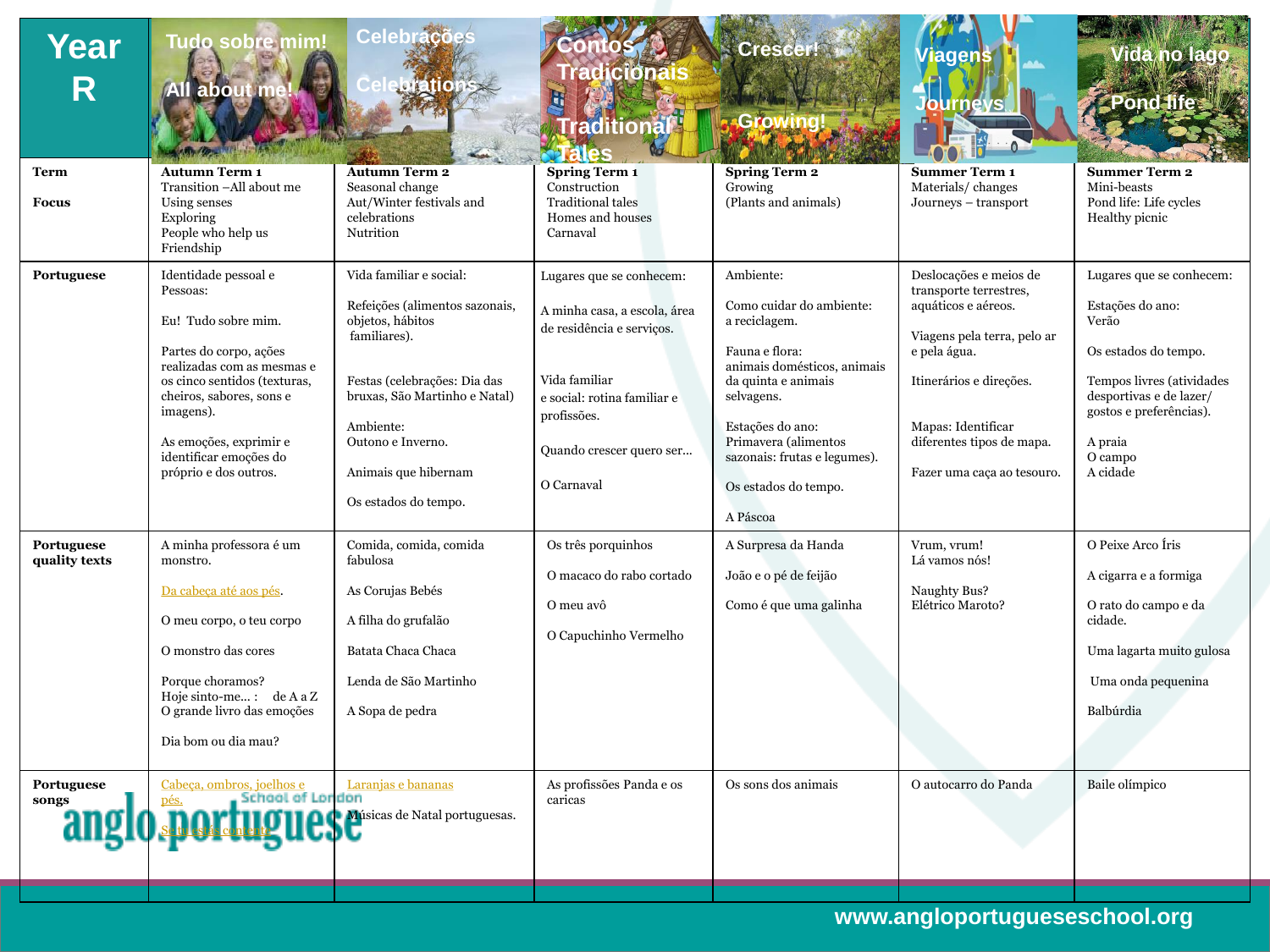| Year<br>R                   | <b>Tudo sobre mim!</b><br><b>All about</b>                                                                                                                                                                                                                            | Celebrações<br><b>Porations</b>                                                                                                                                                                                                                  | $1$ <b>G</b> $\odot$<br><b>raditional</b><br>ales                                                                                                                                              | Crescer<br>Growin                                                                                                                                                                                                                                            | /iagens<br>mevs                                                                                                                                                                                                                    |                                                                                                                                                                                                    |
|-----------------------------|-----------------------------------------------------------------------------------------------------------------------------------------------------------------------------------------------------------------------------------------------------------------------|--------------------------------------------------------------------------------------------------------------------------------------------------------------------------------------------------------------------------------------------------|------------------------------------------------------------------------------------------------------------------------------------------------------------------------------------------------|--------------------------------------------------------------------------------------------------------------------------------------------------------------------------------------------------------------------------------------------------------------|------------------------------------------------------------------------------------------------------------------------------------------------------------------------------------------------------------------------------------|----------------------------------------------------------------------------------------------------------------------------------------------------------------------------------------------------|
| <b>Term</b><br><b>Focus</b> | <b>Autumn Term 1</b><br>Transition -All about me<br>Using senses<br>Exploring<br>People who help us<br>Friendship                                                                                                                                                     | <b>Autumn Term 2</b><br>Seasonal change<br>Aut/Winter festivals and<br>celebrations<br>Nutrition                                                                                                                                                 | <b>Spring Term 1</b><br>Construction<br><b>Traditional tales</b><br>Homes and houses<br>Carnaval                                                                                               | <b>Spring Term 2</b><br>Growing<br>(Plants and animals)                                                                                                                                                                                                      | <b>Summer Term 1</b><br>Materials/changes<br>Journeys - transport                                                                                                                                                                  | <b>Summer Term 2</b><br>Mini-beasts<br>Pond life: Life cycles<br>Healthy picnic                                                                                                                    |
| Portuguese                  | Identidade pessoal e<br>Pessoas:<br>Eu! Tudo sobre mim.<br>Partes do corpo, ações<br>realizadas com as mesmas e<br>os cinco sentidos (texturas,<br>cheiros, sabores, sons e<br>imagens).<br>As emoções, exprimir e<br>identificar emoções do<br>próprio e dos outros. | Vida familiar e social:<br>Refeições (alimentos sazonais,<br>objetos, hábitos<br>familiares).<br>Festas (celebrações: Dia das<br>bruxas, São Martinho e Natal)<br>Ambiente:<br>Outono e Inverno.<br>Animais que hibernam<br>Os estados do tempo. | Lugares que se conhecem:<br>A minha casa, a escola, área<br>de residência e serviços.<br>Vida familiar<br>e social: rotina familiar e<br>profissões.<br>Quando crescer quero ser<br>O Carnaval | Ambiente:<br>Como cuidar do ambiente:<br>a reciclagem.<br>Fauna e flora:<br>animais domésticos, animais<br>da quinta e animais<br>selvagens.<br>Estações do ano:<br>Primavera (alimentos<br>sazonais: frutas e legumes).<br>Os estados do tempo.<br>A Páscoa | Deslocações e meios de<br>transporte terrestres,<br>aquáticos e aéreos.<br>Viagens pela terra, pelo ar<br>e pela água.<br>Itinerários e direções.<br>Mapas: Identificar<br>diferentes tipos de mapa.<br>Fazer uma caça ao tesouro. | Lugares que se conhecem:<br>Estações do ano:<br>Verão<br>Os estados do tempo.<br>Tempos livres (atividades<br>desportivas e de lazer/<br>gostos e preferências).<br>A praia<br>O campo<br>A cidade |
| Portuguese<br>quality texts | A minha professora é um<br>monstro.<br>Da cabeça até aos pés.<br>O meu corpo, o teu corpo<br>O monstro das cores<br>Porque choramos?<br>Hoje sinto-me: $de A a Z$<br>O grande livro das emoções<br>Dia bom ou dia mau?                                                | Comida, comida, comida<br>fabulosa<br>As Corujas Bebés<br>A filha do grufalão<br>Batata Chaca Chaca<br>Lenda de São Martinho<br>A Sopa de pedra                                                                                                  | Os três porquinhos<br>O macaco do rabo cortado<br>O meu avô<br>O Capuchinho Vermelho                                                                                                           | A Surpresa da Handa<br>João e o pé de feijão<br>Como é que uma galinha                                                                                                                                                                                       | Vrum, vrum!<br>Lá vamos nós!<br>Naughty Bus?<br>Elétrico Maroto?                                                                                                                                                                   | O Peixe Arco Íris<br>A cigarra e a formiga<br>O rato do campo e da<br>cidade.<br>Uma lagarta muito gulosa<br>Uma onda pequenina<br>Balbúrdia                                                       |
| Portuguese<br>songs         | Cabeça, ombros, joelhos e<br>School of London<br>pés.<br>anglo sportugles de Natal portuguesas.                                                                                                                                                                       | Laranjas e bananas                                                                                                                                                                                                                               | As profissões Panda e os<br>caricas                                                                                                                                                            | Os sons dos animais                                                                                                                                                                                                                                          | O autocarro do Panda                                                                                                                                                                                                               | Baile olímpico                                                                                                                                                                                     |